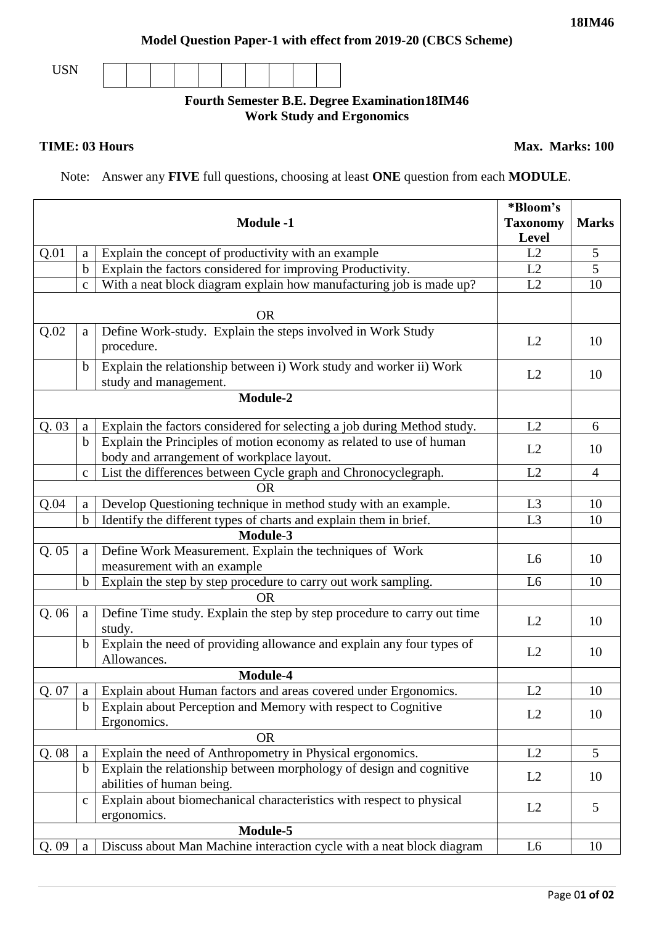## **Model Question Paper-1 with effect from 2019-20 (CBCS Scheme)**

USN

## **Fourth Semester B.E. Degree Examination18IM46 Work Study and Ergonomics**

## **TIME: 03 Hours** Max. Marks: 100

Note: Answer any **FIVE** full questions, choosing at least **ONE** question from each **MODULE**.

|                   |              | <b>Module -1</b>                                                                                                 | *Bloom's<br><b>Taxonomy</b><br>Level | <b>Marks</b>   |  |
|-------------------|--------------|------------------------------------------------------------------------------------------------------------------|--------------------------------------|----------------|--|
| Q.01              | a            | Explain the concept of productivity with an example                                                              | L2                                   | 5              |  |
|                   | $\mathbf b$  | Explain the factors considered for improving Productivity.                                                       | L2                                   | 5              |  |
|                   | $\mathbf{c}$ | With a neat block diagram explain how manufacturing job is made up?                                              | L2                                   | 10             |  |
|                   |              | <b>OR</b>                                                                                                        |                                      |                |  |
| Q.02              | a            | Define Work-study. Explain the steps involved in Work Study<br>procedure.                                        | L2                                   | 10             |  |
|                   | $\mathbf b$  | Explain the relationship between i) Work study and worker ii) Work<br>study and management.                      | L2                                   | 10             |  |
|                   |              | Module-2                                                                                                         |                                      |                |  |
| Q.03              | a            | Explain the factors considered for selecting a job during Method study.                                          | L2                                   | 6              |  |
|                   | $\mathbf b$  | Explain the Principles of motion economy as related to use of human<br>body and arrangement of workplace layout. | L2                                   | 10             |  |
|                   | $\mathbf{C}$ | List the differences between Cycle graph and Chronocyclegraph.                                                   | L2                                   | $\overline{4}$ |  |
|                   |              | <b>OR</b>                                                                                                        |                                      |                |  |
| Q.04              | a            | Develop Questioning technique in method study with an example.                                                   | L <sub>3</sub>                       | 10             |  |
|                   | $\mathbf b$  | Identify the different types of charts and explain them in brief.                                                | L <sub>3</sub>                       | 10             |  |
|                   |              | <b>Module-3</b>                                                                                                  |                                      |                |  |
| Q.05              | a            | Define Work Measurement. Explain the techniques of Work<br>measurement with an example                           | L <sub>6</sub>                       | 10             |  |
|                   | $\mathbf b$  | Explain the step by step procedure to carry out work sampling.                                                   | L <sub>6</sub>                       | 10             |  |
|                   |              | <b>OR</b>                                                                                                        |                                      |                |  |
| Q.06              | a            | Define Time study. Explain the step by step procedure to carry out time<br>study.                                | L2                                   | 10             |  |
|                   | $\mathbf b$  | Explain the need of providing allowance and explain any four types of<br>Allowances.                             | L2                                   | 10             |  |
|                   |              | Module-4                                                                                                         |                                      |                |  |
| Q. 07   a $\vert$ |              | Explain about Human factors and areas covered under Ergonomics.                                                  | L2                                   | 10             |  |
|                   | b            | Explain about Perception and Memory with respect to Cognitive<br>Ergonomics.                                     | L2                                   | 10             |  |
|                   |              | <b>OR</b>                                                                                                        |                                      |                |  |
| Q.08              | a            | Explain the need of Anthropometry in Physical ergonomics.                                                        | L2                                   | 5              |  |
|                   | b            | Explain the relationship between morphology of design and cognitive<br>abilities of human being.                 | L2                                   | 10             |  |
|                   | $\mathbf{C}$ | Explain about biomechanical characteristics with respect to physical<br>ergonomics.                              | L2                                   | 5              |  |
| Module-5          |              |                                                                                                                  |                                      |                |  |
| Q.09              | a            | Discuss about Man Machine interaction cycle with a neat block diagram                                            | L <sub>6</sub>                       | 10             |  |